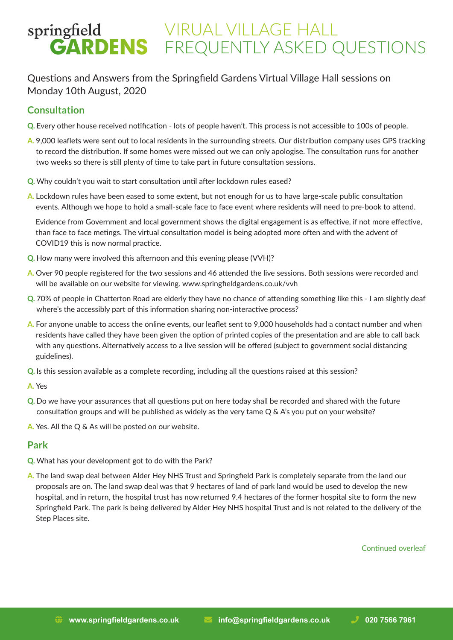### Questions and Answers from the Springfield Gardens Virtual Village Hall sessions on Monday 10th August, 2020

### **Consultation**

- **Q.** Every other house received notification lots of people haven't. This process is not accessible to 100s of people.
- **A.** 9,000 leaflets were sent out to local residents in the surrounding streets. Our distribution company uses GPS tracking to record the distribution. If some homes were missed out we can only apologise. The consultation runs for another two weeks so there is still plenty of time to take part in future consultation sessions.
- **Q.** Why couldn't you wait to start consultation until after lockdown rules eased?
- **A.** Lockdown rules have been eased to some extent, but not enough for us to have large-scale public consultation events. Although we hope to hold a small-scale face to face event where residents will need to pre-book to attend.

Evidence from Government and local government shows the digital engagement is as effective, if not more effective, than face to face metings. The virtual consultation model is being adopted more often and with the advent of COVID19 this is now normal practice.

- **Q.** How many were involved this afternoon and this evening please (VVH)?
- **A.** Over 90 people registered for the two sessions and 46 attended the live sessions. Both sessions were recorded and will be available on our website for viewing. www.springfieldgardens.co.uk/vvh
- **Q.** 70% of people in Chatterton Road are elderly they have no chance of attending something like this I am slightly deaf where's the accessibly part of this information sharing non-interactive process?
- **A.** For anyone unable to access the online events, our leaflet sent to 9,000 households had a contact number and when residents have called they have been given the option of printed copies of the presentation and are able to call back with any questions. Alternatively access to a live session will be offered (subject to government social distancing guidelines).
- **Q.** Is this session available as a complete recording, including all the questions raised at this session?
- **A.** Yes
- **Q.** Do we have your assurances that all questions put on here today shall be recorded and shared with the future consultation groups and will be published as widely as the very tame Q & A's you put on your website?
- **A.** Yes. All the Q & As will be posted on our website.

### **Park**

- **Q.** What has your development got to do with the Park?
- **A.** The land swap deal between Alder Hey NHS Trust and Springfield Park is completely separate from the land our proposals are on. The land swap deal was that 9 hectares of land of park land would be used to develop the new hospital, and in return, the hospital trust has now returned 9.4 hectares of the former hospital site to form the new Springfield Park. The park is being delivered by Alder Hey NHS hospital Trust and is not related to the delivery of the Step Places site.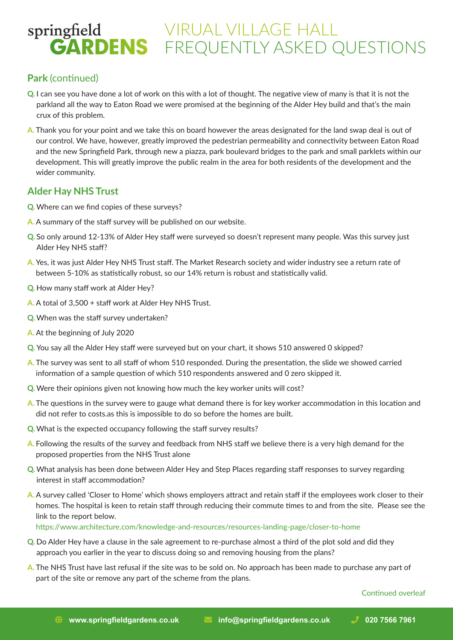### **Park** (continued)

- **Q.** I can see you have done a lot of work on this with a lot of thought. The negative view of many is that it is not the parkland all the way to Eaton Road we were promised at the beginning of the Alder Hey build and that's the main crux of this problem.
- **A.** Thank you for your point and we take this on board however the areas designated for the land swap deal is out of our control. We have, however, greatly improved the pedestrian permeability and connectivity between Eaton Road and the new Springfield Park, through new a piazza, park boulevard bridges to the park and small parklets within our development. This will greatly improve the public realm in the area for both residents of the development and the wider community.

#### **Alder Hay NHS Trust**

- **Q.** Where can we find copies of these surveys?
- **A.** A summary of the staff survey will be published on our website.
- **Q.** So only around 12-13% of Alder Hey staff were surveyed so doesn't represent many people. Was this survey just Alder Hey NHS staff?
- **A.** Yes, it was just Alder Hey NHS Trust staff. The Market Research society and wider industry see a return rate of between 5-10% as statistically robust, so our 14% return is robust and statistically valid.
- **Q.** How many staff work at Alder Hey?
- **A.** A total of 3,500 + staff work at Alder Hey NHS Trust.
- **Q.** When was the staff survey undertaken?
- **A.** At the beginning of July 2020
- **Q.** You say all the Alder Hey staff were surveyed but on your chart, it shows 510 answered 0 skipped?
- **A.** The survey was sent to all staff of whom 510 responded. During the presentation, the slide we showed carried information of a sample question of which 510 respondents answered and 0 zero skipped it.
- **Q.** Were their opinions given not knowing how much the key worker units will cost?
- **A.** The questions in the survey were to gauge what demand there is for key worker accommodation in this location and did not refer to costs.as this is impossible to do so before the homes are built.
- **Q.** What is the expected occupancy following the staff survey results?
- **A.** Following the results of the survey and feedback from NHS staff we believe there is a very high demand for the proposed properties from the NHS Trust alone
- **Q.** What analysis has been done between Alder Hey and Step Places regarding staff responses to survey regarding interest in staff accommodation?
- **A.** A survey called 'Closer to Home' which shows employers attract and retain staff if the employees work closer to their homes. The hospital is keen to retain staff through reducing their commute times to and from the site. Please see the link to the report below.

https://www.architecture.com/knowledge-and-resources/resources-landing-page/closer-to-home

- **Q.** Do Alder Hey have a clause in the sale agreement to re-purchase almost a third of the plot sold and did they approach you earlier in the year to discuss doing so and removing housing from the plans?
- **A.** The NHS Trust have last refusal if the site was to be sold on. No approach has been made to purchase any part of part of the site or remove any part of the scheme from the plans.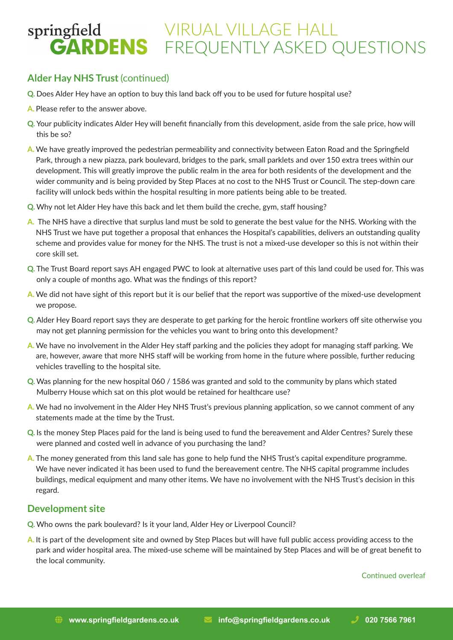### **Alder Hay NHS Trust** (continued)

- **Q.** Does Alder Hey have an option to buy this land back off you to be used for future hospital use?
- **A.** Please refer to the answer above.
- **Q.** Your publicity indicates Alder Hey will benefit financially from this development, aside from the sale price, how will this be so?
- **A.** We have greatly improved the pedestrian permeability and connectivity between Eaton Road and the Springfield Park, through a new piazza, park boulevard, bridges to the park, small parklets and over 150 extra trees within our development. This will greatly improve the public realm in the area for both residents of the development and the wider community and is being provided by Step Places at no cost to the NHS Trust or Council. The step-down care facility will unlock beds within the hospital resulting in more patients being able to be treated.
- **Q.** Why not let Alder Hey have this back and let them build the creche, gym, staff housing?
- **A.** The NHS have a directive that surplus land must be sold to generate the best value for the NHS. Working with the NHS Trust we have put together a proposal that enhances the Hospital's capabilities, delivers an outstanding quality scheme and provides value for money for the NHS. The trust is not a mixed-use developer so this is not within their core skill set.
- **Q.** The Trust Board report says AH engaged PWC to look at alternative uses part of this land could be used for. This was only a couple of months ago. What was the findings of this report?
- **A.** We did not have sight of this report but it is our belief that the report was supportive of the mixed-use development we propose.
- **Q.** Alder Hey Board report says they are desperate to get parking for the heroic frontline workers off site otherwise you may not get planning permission for the vehicles you want to bring onto this development?
- **A.** We have no involvement in the Alder Hey staff parking and the policies they adopt for managing staff parking. We are, however, aware that more NHS staff will be working from home in the future where possible, further reducing vehicles travelling to the hospital site.
- **Q.** Was planning for the new hospital 060 / 1586 was granted and sold to the community by plans which stated Mulberry House which sat on this plot would be retained for healthcare use?
- **A.** We had no involvement in the Alder Hey NHS Trust's previous planning application, so we cannot comment of any statements made at the time by the Trust.
- **Q.** Is the money Step Places paid for the land is being used to fund the bereavement and Alder Centres? Surely these were planned and costed well in advance of you purchasing the land?
- **A.** The money generated from this land sale has gone to help fund the NHS Trust's capital expenditure programme. We have never indicated it has been used to fund the bereavement centre. The NHS capital programme includes buildings, medical equipment and many other items. We have no involvement with the NHS Trust's decision in this regard.

#### **Development site**

- **Q.** Who owns the park boulevard? Is it your land, Alder Hey or Liverpool Council?
- **A.** It is part of the development site and owned by Step Places but will have full public access providing access to the park and wider hospital area. The mixed-use scheme will be maintained by Step Places and will be of great benefit to the local community.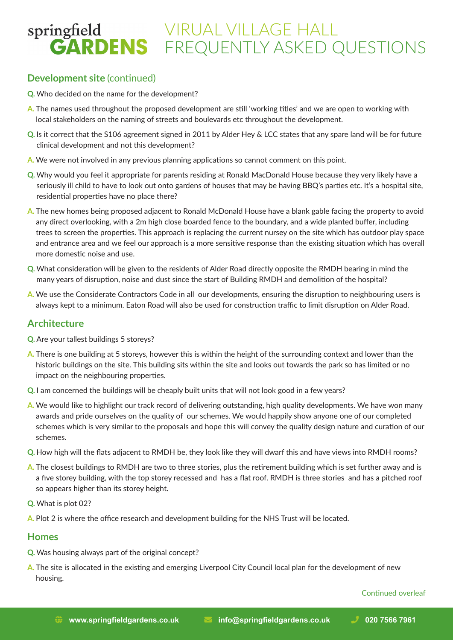### **Development site (continued)**

- **Q.** Who decided on the name for the development?
- **A.** The names used throughout the proposed development are still 'working titles' and we are open to working with local stakeholders on the naming of streets and boulevards etc throughout the development.
- **Q.** Is it correct that the S106 agreement signed in 2011 by Alder Hey & LCC states that any spare land will be for future clinical development and not this development?
- **A.** We were not involved in any previous planning applications so cannot comment on this point.
- **Q.** Why would you feel it appropriate for parents residing at Ronald MacDonald House because they very likely have a seriously ill child to have to look out onto gardens of houses that may be having BBQ's parties etc. It's a hospital site, residential properties have no place there?
- **A.** The new homes being proposed adjacent to Ronald McDonald House have a blank gable facing the property to avoid any direct overlooking, with a 2m high close boarded fence to the boundary, and a wide planted buffer, including trees to screen the properties. This approach is replacing the current nursey on the site which has outdoor play space and entrance area and we feel our approach is a more sensitive response than the existing situation which has overall more domestic noise and use.
- **Q.** What consideration will be given to the residents of Alder Road directly opposite the RMDH bearing in mind the many years of disruption, noise and dust since the start of Building RMDH and demolition of the hospital?
- **A.** We use the Considerate Contractors Code in all our developments, ensuring the disruption to neighbouring users is always kept to a minimum. Eaton Road will also be used for construction traffic to limit disruption on Alder Road.

### **Architecture**

- **Q.** Are your tallest buildings 5 storeys?
- **A.** There is one building at 5 storeys, however this is within the height of the surrounding context and lower than the historic buildings on the site. This building sits within the site and looks out towards the park so has limited or no impact on the neighbouring properties.
- **Q.** I am concerned the buildings will be cheaply built units that will not look good in a few years?
- **A.** We would like to highlight our track record of delivering outstanding, high quality developments. We have won many awards and pride ourselves on the quality of our schemes. We would happily show anyone one of our completed schemes which is very similar to the proposals and hope this will convey the quality design nature and curation of our schemes.
- **Q.** How high will the flats adjacent to RMDH be, they look like they will dwarf this and have views into RMDH rooms?
- **A.** The closest buildings to RMDH are two to three stories, plus the retirement building which is set further away and is a five storey building, with the top storey recessed and has a flat roof. RMDH is three stories and has a pitched roof so appears higher than its storey height.
- **Q.** What is plot 02?
- **A.** Plot 2 is where the office research and development building for the NHS Trust will be located.

#### **Homes**

- **Q.** Was housing always part of the original concept?
- **A.** The site is allocated in the existing and emerging Liverpool City Council local plan for the development of new housing.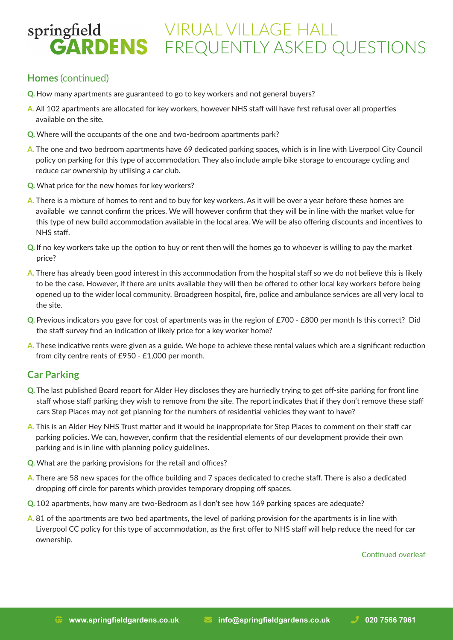### **Homes** (continued)

- **Q.** How many apartments are guaranteed to go to key workers and not general buyers?
- **A.** All 102 apartments are allocated for key workers, however NHS staff will have first refusal over all properties available on the site.
- **Q.** Where will the occupants of the one and two-bedroom apartments park?
- **A.** The one and two bedroom apartments have 69 dedicated parking spaces, which is in line with Liverpool City Council policy on parking for this type of accommodation. They also include ample bike storage to encourage cycling and reduce car ownership by utilising a car club.
- **Q.** What price for the new homes for key workers?
- **A.** There is a mixture of homes to rent and to buy for key workers. As it will be over a year before these homes are available we cannot confirm the prices. We will however confirm that they will be in line with the market value for this type of new build accommodation available in the local area. We will be also offering discounts and incentives to NHS staff.
- **Q.** If no key workers take up the option to buy or rent then will the homes go to whoever is willing to pay the market price?
- **A.** There has already been good interest in this accommodation from the hospital staff so we do not believe this is likely to be the case. However, if there are units available they will then be offered to other local key workers before being opened up to the wider local community. Broadgreen hospital, fire, police and ambulance services are all very local to the site.
- **Q.** Previous indicators you gave for cost of apartments was in the region of £700 £800 per month Is this correct? Did the staff survey find an indication of likely price for a key worker home?
- **A.** These indicative rents were given as a guide. We hope to achieve these rental values which are a significant reduction from city centre rents of £950 - £1,000 per month.

### **Car Parking**

- **Q.** The last published Board report for Alder Hey discloses they are hurriedly trying to get off-site parking for front line staff whose staff parking they wish to remove from the site. The report indicates that if they don't remove these staff cars Step Places may not get planning for the numbers of residential vehicles they want to have?
- **A.** This is an Alder Hey NHS Trust matter and it would be inappropriate for Step Places to comment on their staff car parking policies. We can, however, confirm that the residential elements of our development provide their own parking and is in line with planning policy guidelines.
- **Q.** What are the parking provisions for the retail and offices?
- **A.** There are 58 new spaces for the office building and 7 spaces dedicated to creche staff. There is also a dedicated dropping off circle for parents which provides temporary dropping off spaces.
- **Q.** 102 apartments, how many are two-Bedroom as I don't see how 169 parking spaces are adequate?
- **A.** 81 of the apartments are two bed apartments, the level of parking provision for the apartments is in line with Liverpool CC policy for this type of accommodation, as the first offer to NHS staff will help reduce the need for car ownership.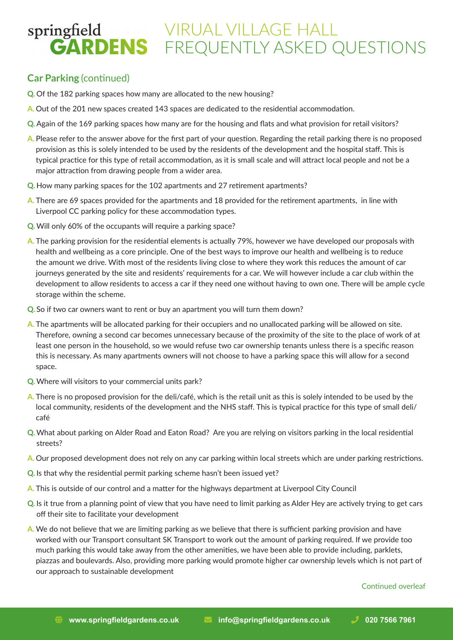### **Car Parking** (continued)

- **Q.** Of the 182 parking spaces how many are allocated to the new housing?
- **A.** Out of the 201 new spaces created 143 spaces are dedicated to the residential accommodation.
- **Q.** Again of the 169 parking spaces how many are for the housing and flats and what provision for retail visitors?
- **A.** Please refer to the answer above for the first part of your question. Regarding the retail parking there is no proposed provision as this is solely intended to be used by the residents of the development and the hospital staff. This is typical practice for this type of retail accommodation, as it is small scale and will attract local people and not be a major attraction from drawing people from a wider area.
- **Q.** How many parking spaces for the 102 apartments and 27 retirement apartments?
- **A.** There are 69 spaces provided for the apartments and 18 provided for the retirement apartments, in line with Liverpool CC parking policy for these accommodation types.
- **Q.** Will only 60% of the occupants will require a parking space?
- **A.** The parking provision for the residential elements is actually 79%, however we have developed our proposals with health and wellbeing as a core principle. One of the best ways to improve our health and wellbeing is to reduce the amount we drive. With most of the residents living close to where they work this reduces the amount of car journeys generated by the site and residents' requirements for a car. We will however include a car club within the development to allow residents to access a car if they need one without having to own one. There will be ample cycle storage within the scheme.
- **Q.** So if two car owners want to rent or buy an apartment you will turn them down?
- **A.** The apartments will be allocated parking for their occupiers and no unallocated parking will be allowed on site. Therefore, owning a second car becomes unnecessary because of the proximity of the site to the place of work of at least one person in the household, so we would refuse two car ownership tenants unless there is a specific reason this is necessary. As many apartments owners will not choose to have a parking space this will allow for a second space.
- **Q.** Where will visitors to your commercial units park?
- **A.** There is no proposed provision for the deli/café, which is the retail unit as this is solely intended to be used by the local community, residents of the development and the NHS staff. This is typical practice for this type of small deli/ café
- **Q.** What about parking on Alder Road and Eaton Road? Are you are relying on visitors parking in the local residential streets?
- **A.** Our proposed development does not rely on any car parking within local streets which are under parking restrictions.
- **Q.** Is that why the residential permit parking scheme hasn't been issued yet?
- **A.** This is outside of our control and a matter for the highways department at Liverpool City Council
- **Q.** Is it true from a planning point of view that you have need to limit parking as Alder Hey are actively trying to get cars off their site to facilitate your development
- **A.** We do not believe that we are limiting parking as we believe that there is sufficient parking provision and have worked with our Transport consultant SK Transport to work out the amount of parking required. If we provide too much parking this would take away from the other amenities, we have been able to provide including, parklets, piazzas and boulevards. Also, providing more parking would promote higher car ownership levels which is not part of our approach to sustainable development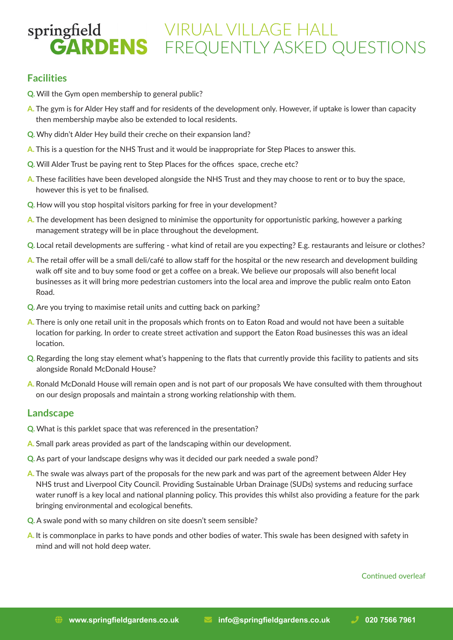### **Facilities**

- **Q.** Will the Gym open membership to general public?
- **A.** The gym is for Alder Hey staff and for residents of the development only. However, if uptake is lower than capacity then membership maybe also be extended to local residents.
- **Q.** Why didn't Alder Hey build their creche on their expansion land?
- **A.** This is a question for the NHS Trust and it would be inappropriate for Step Places to answer this.
- **Q.** Will Alder Trust be paying rent to Step Places for the offices space, creche etc?
- **A.** These facilities have been developed alongside the NHS Trust and they may choose to rent or to buy the space, however this is yet to be finalised.
- **Q.** How will you stop hospital visitors parking for free in your development?
- **A.** The development has been designed to minimise the opportunity for opportunistic parking, however a parking management strategy will be in place throughout the development.
- **Q.** Local retail developments are suffering what kind of retail are you expecting? E.g. restaurants and leisure or clothes?
- **A.** The retail offer will be a small deli/café to allow staff for the hospital or the new research and development building walk off site and to buy some food or get a coffee on a break. We believe our proposals will also benefit local businesses as it will bring more pedestrian customers into the local area and improve the public realm onto Eaton Road.
- **Q.** Are you trying to maximise retail units and cutting back on parking?
- **A.** There is only one retail unit in the proposals which fronts on to Eaton Road and would not have been a suitable location for parking. In order to create street activation and support the Eaton Road businesses this was an ideal location.
- **Q.** Regarding the long stay element what's happening to the flats that currently provide this facility to patients and sits alongside Ronald McDonald House?
- **A.** Ronald McDonald House will remain open and is not part of our proposals We have consulted with them throughout on our design proposals and maintain a strong working relationship with them.

#### **Landscape**

- **Q.** What is this parklet space that was referenced in the presentation?
- **A.** Small park areas provided as part of the landscaping within our development.
- **Q.** As part of your landscape designs why was it decided our park needed a swale pond?
- **A.** The swale was always part of the proposals for the new park and was part of the agreement between Alder Hey NHS trust and Liverpool City Council. Providing Sustainable Urban Drainage (SUDs) systems and reducing surface water runoff is a key local and national planning policy. This provides this whilst also providing a feature for the park bringing environmental and ecological benefits.
- **Q.** A swale pond with so many children on site doesn't seem sensible?
- **A.** It is commonplace in parks to have ponds and other bodies of water. This swale has been designed with safety in mind and will not hold deep water.